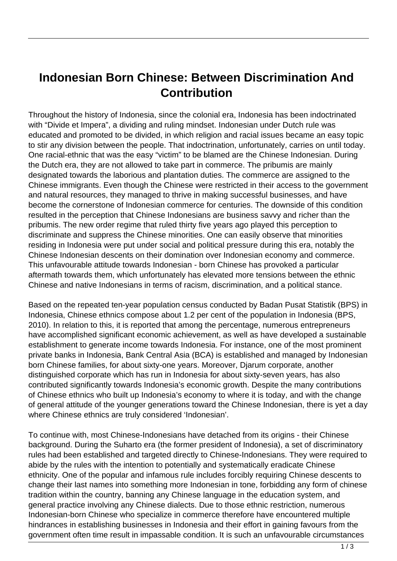## **Indonesian Born Chinese: Between Discrimination And Contribution**

Throughout the history of Indonesia, since the colonial era, Indonesia has been indoctrinated with "Divide et Impera", a dividing and ruling mindset. Indonesian under Dutch rule was educated and promoted to be divided, in which religion and racial issues became an easy topic to stir any division between the people. That indoctrination, unfortunately, carries on until today. One racial-ethnic that was the easy "victim" to be blamed are the Chinese Indonesian. During the Dutch era, they are not allowed to take part in commerce. The pribumis are mainly designated towards the laborious and plantation duties. The commerce are assigned to the Chinese immigrants. Even though the Chinese were restricted in their access to the government and natural resources, they managed to thrive in making successful businesses, and have become the cornerstone of Indonesian commerce for centuries. The downside of this condition resulted in the perception that Chinese Indonesians are business savvy and richer than the pribumis. The new order regime that ruled thirty five years ago played this perception to discriminate and suppress the Chinese minorities. One can easily observe that minorities residing in Indonesia were put under social and political pressure during this era, notably the Chinese Indonesian descents on their domination over Indonesian economy and commerce. This unfavourable attitude towards Indonesian - born Chinese has provoked a particular aftermath towards them, which unfortunately has elevated more tensions between the ethnic Chinese and native Indonesians in terms of racism, discrimination, and a political stance.

Based on the repeated ten-year population census conducted by Badan Pusat Statistik (BPS) in Indonesia, Chinese ethnics compose about 1.2 per cent of the population in Indonesia (BPS, 2010). In relation to this, it is reported that among the percentage, numerous entrepreneurs have accomplished significant economic achievement, as well as have developed a sustainable establishment to generate income towards Indonesia. For instance, one of the most prominent private banks in Indonesia, Bank Central Asia (BCA) is established and managed by Indonesian born Chinese families, for about sixty-one years. Moreover, Djarum corporate, another distinguished corporate which has run in Indonesia for about sixty-seven years, has also contributed significantly towards Indonesia's economic growth. Despite the many contributions of Chinese ethnics who built up Indonesia's economy to where it is today, and with the change of general attitude of the younger generations toward the Chinese Indonesian, there is yet a day where Chinese ethnics are truly considered 'Indonesian'.

To continue with, most Chinese-Indonesians have detached from its origins - their Chinese background. During the Suharto era (the former president of Indonesia), a set of discriminatory rules had been established and targeted directly to Chinese-Indonesians. They were required to abide by the rules with the intention to potentially and systematically eradicate Chinese ethnicity. One of the popular and infamous rule includes forcibly requiring Chinese descents to change their last names into something more Indonesian in tone, forbidding any form of chinese tradition within the country, banning any Chinese language in the education system, and general practice involving any Chinese dialects. Due to those ethnic restriction, numerous Indonesian-born Chinese who specialize in commerce therefore have encountered multiple hindrances in establishing businesses in Indonesia and their effort in gaining favours from the government often time result in impassable condition. It is such an unfavourable circumstances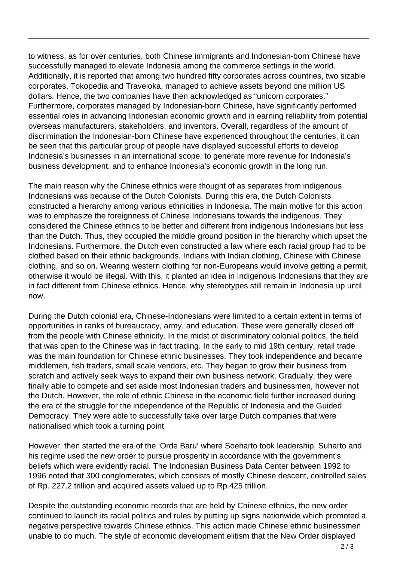to witness, as for over centuries, both Chinese immigrants and Indonesian-born Chinese have successfully managed to elevate Indonesia among the commerce settings in the world. Additionally, it is reported that among two hundred fifty corporates across countries, two sizable corporates, Tokopedia and Traveloka, managed to achieve assets beyond one million US dollars. Hence, the two companies have then acknowledged as "unicorn corporates." Furthermore, corporates managed by Indonesian-born Chinese, have significantly performed essential roles in advancing Indonesian economic growth and in earning reliability from potential overseas manufacturers, stakeholders, and inventors. Overall, regardless of the amount of discrimination the Indonesian-born Chinese have experienced throughout the centuries, it can be seen that this particular group of people have displayed successful efforts to develop Indonesia's businesses in an international scope, to generate more revenue for Indonesia's business development, and to enhance Indonesia's economic growth in the long run.

The main reason why the Chinese ethnics were thought of as separates from indigenous Indonesians was because of the Dutch Colonists. During this era, the Dutch Colonists constructed a hierarchy among various ethnicities in Indonesia. The main motive for this action was to emphasize the foreignness of Chinese Indonesians towards the indigenous. They considered the Chinese ethnics to be better and different from indigenous Indonesians but less than the Dutch. Thus, they occupied the middle ground position in the hierarchy which upset the Indonesians. Furthermore, the Dutch even constructed a law where each racial group had to be clothed based on their ethnic backgrounds. Indians with Indian clothing, Chinese with Chinese clothing, and so on. Wearing western clothing for non-Europeans would involve getting a permit, otherwise it would be illegal. With this, it planted an idea in Indigenous Indonesians that they are in fact different from Chinese ethnics. Hence, why stereotypes still remain in Indonesia up until now.

During the Dutch colonial era, Chinese-Indonesians were limited to a certain extent in terms of opportunities in ranks of bureaucracy, army, and education. These were generally closed off from the people with Chinese ethnicity. In the midst of discriminatory colonial politics, the field that was open to the Chinese was in fact trading. In the early to mid 19th century, retail trade was the main foundation for Chinese ethnic businesses. They took independence and became middlemen, fish traders, small scale vendors, etc. They began to grow their business from scratch and actively seek ways to expand their own business network. Gradually, they were finally able to compete and set aside most Indonesian traders and businessmen, however not the Dutch. However, the role of ethnic Chinese in the economic field further increased during the era of the struggle for the independence of the Republic of Indonesia and the Guided Democracy. They were able to successfully take over large Dutch companies that were nationalised which took a turning point.

However, then started the era of the 'Orde Baru' where Soeharto took leadership. Suharto and his regime used the new order to pursue prosperity in accordance with the government's beliefs which were evidently racial. The Indonesian Business Data Center between 1992 to 1996 noted that 300 conglomerates, which consists of mostly Chinese descent, controlled sales of Rp. 227.2 trillion and acquired assets valued up to Rp.425 trillion.

Despite the outstanding economic records that are held by Chinese ethnics, the new order continued to launch its racial politics and rules by putting up signs nationwide which promoted a negative perspective towards Chinese ethnics. This action made Chinese ethnic businessmen unable to do much. The style of economic development elitism that the New Order displayed